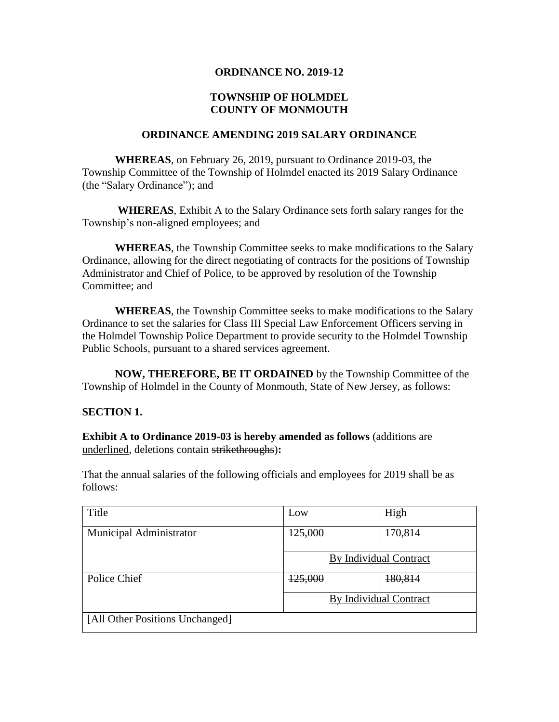# **ORDINANCE NO. 2019-12**

# **TOWNSHIP OF HOLMDEL COUNTY OF MONMOUTH**

#### **ORDINANCE AMENDING 2019 SALARY ORDINANCE**

**WHEREAS**, on February 26, 2019, pursuant to Ordinance 2019-03, the Township Committee of the Township of Holmdel enacted its 2019 Salary Ordinance (the "Salary Ordinance"); and

**WHEREAS**, Exhibit A to the Salary Ordinance sets forth salary ranges for the Township's non-aligned employees; and

**WHEREAS**, the Township Committee seeks to make modifications to the Salary Ordinance, allowing for the direct negotiating of contracts for the positions of Township Administrator and Chief of Police, to be approved by resolution of the Township Committee; and

**WHEREAS**, the Township Committee seeks to make modifications to the Salary Ordinance to set the salaries for Class III Special Law Enforcement Officers serving in the Holmdel Township Police Department to provide security to the Holmdel Township Public Schools, pursuant to a shared services agreement.

**NOW, THEREFORE, BE IT ORDAINED** by the Township Committee of the Township of Holmdel in the County of Monmouth, State of New Jersey, as follows:

#### **SECTION 1.**

**Exhibit A to Ordinance 2019-03 is hereby amended as follows** (additions are underlined, deletions contain strikethroughs)**:**

That the annual salaries of the following officials and employees for 2019 shall be as follows:

| Title                           | Low                    | High               |
|---------------------------------|------------------------|--------------------|
| Municipal Administrator         | 125,000                | <del>170,814</del> |
|                                 | By Individual Contract |                    |
| Police Chief                    | 125,000                | 180,814            |
|                                 | By Individual Contract |                    |
| [All Other Positions Unchanged] |                        |                    |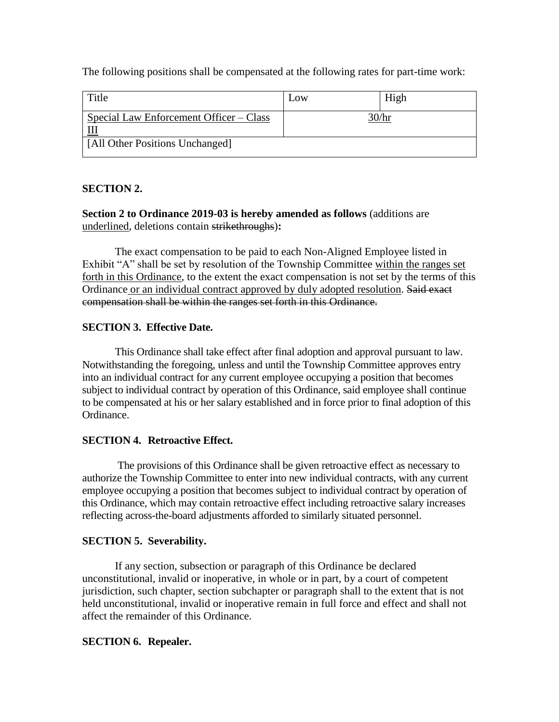The following positions shall be compensated at the following rates for part-time work:

| Title                                          | Low   | High |
|------------------------------------------------|-------|------|
| Special Law Enforcement Officer – Class<br>TTT | 30/hr |      |
| [All Other Positions Unchanged]                |       |      |

# **SECTION 2.**

**Section 2 to Ordinance 2019-03 is hereby amended as follows** (additions are underlined, deletions contain strikethroughs)**:**

The exact compensation to be paid to each Non-Aligned Employee listed in Exhibit "A" shall be set by resolution of the Township Committee within the ranges set forth in this Ordinance, to the extent the exact compensation is not set by the terms of this Ordinance or an individual contract approved by duly adopted resolution. Said exact compensation shall be within the ranges set forth in this Ordinance.

#### **SECTION 3. Effective Date.**

This Ordinance shall take effect after final adoption and approval pursuant to law. Notwithstanding the foregoing, unless and until the Township Committee approves entry into an individual contract for any current employee occupying a position that becomes subject to individual contract by operation of this Ordinance, said employee shall continue to be compensated at his or her salary established and in force prior to final adoption of this Ordinance.

#### **SECTION 4. Retroactive Effect.**

The provisions of this Ordinance shall be given retroactive effect as necessary to authorize the Township Committee to enter into new individual contracts, with any current employee occupying a position that becomes subject to individual contract by operation of this Ordinance, which may contain retroactive effect including retroactive salary increases reflecting across-the-board adjustments afforded to similarly situated personnel.

#### **SECTION 5. Severability.**

If any section, subsection or paragraph of this Ordinance be declared unconstitutional, invalid or inoperative, in whole or in part, by a court of competent jurisdiction, such chapter, section subchapter or paragraph shall to the extent that is not held unconstitutional, invalid or inoperative remain in full force and effect and shall not affect the remainder of this Ordinance.

#### **SECTION 6. Repealer.**